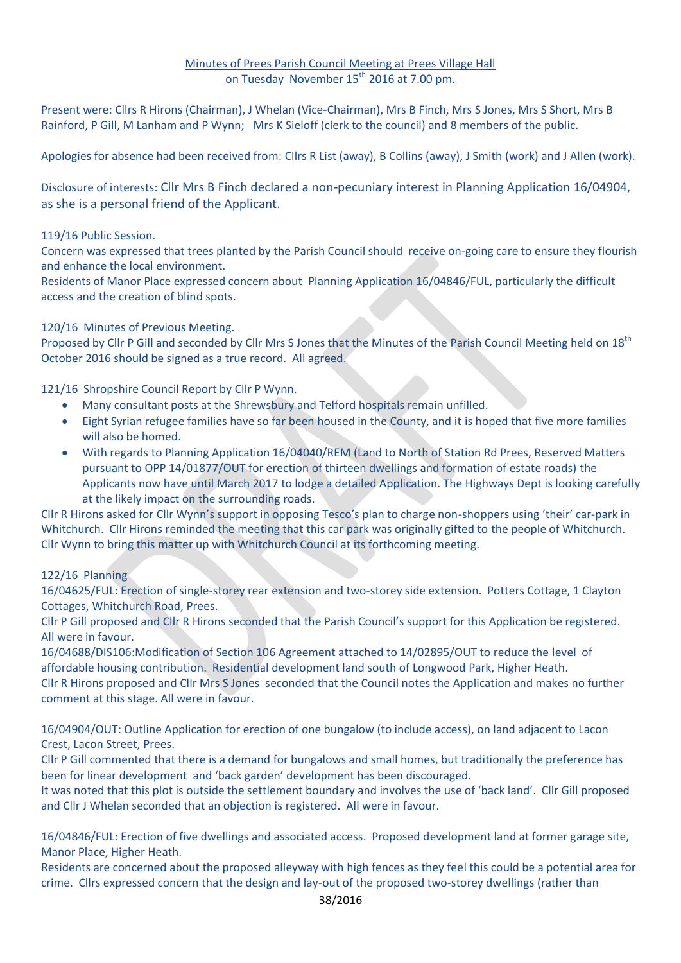## Minutes of Prees Parish Council Meeting at Prees Village Hall on Tuesday November  $15<sup>th</sup>$  2016 at 7.00 pm.

Present were: Cllrs R Hirons (Chairman), J Whelan (Vice-Chairman), Mrs B Finch, Mrs S Jones, Mrs S Short, Mrs B Rainford, P Gill, M Lanham and P Wynn; Mrs K Sieloff (clerk to the council) and 8 members of the public.

Apologies for absence had been received from: Cllrs R List (away), B Collins (away), J Smith (work) and J Allen (work).

Disclosure of interests: Cllr Mrs B Finch declared a non-pecuniary interest in Planning Application 16/04904, as she is a personal friend of the Applicant.

### 119/16 Public Session.

Concern was expressed that trees planted by the Parish Council should receive on-going care to ensure they flourish and enhance the local environment.

Residents of Manor Place expressed concern about Planning Application 16/04846/FUL, particularly the difficult access and the creation of blind spots.

## 120/16 Minutes of Previous Meeting.

Proposed by Cllr P Gill and seconded by Cllr Mrs S Jones that the Minutes of the Parish Council Meeting held on 18<sup>th</sup> October 2016 should be signed as a true record. All agreed.

121/16 Shropshire Council Report by Cllr P Wynn.

- Many consultant posts at the Shrewsbury and Telford hospitals remain unfilled.
- Eight Syrian refugee families have so far been housed in the County, and it is hoped that five more families will also be homed.
- With regards to Planning Application 16/04040/REM (Land to North of Station Rd Prees, Reserved Matters pursuant to OPP 14/01877/OUT for erection of thirteen dwellings and formation of estate roads) the Applicants now have until March 2017 to lodge a detailed Application. The Highways Dept is looking carefully at the likely impact on the surrounding roads.

Cllr R Hirons asked for Cllr Wynn's support in opposing Tesco's plan to charge non-shoppers using 'their' car-park in Whitchurch. Cllr Hirons reminded the meeting that this car park was originally gifted to the people of Whitchurch. Cllr Wynn to bring this matter up with Whitchurch Council at its forthcoming meeting.

### 122/16 Planning

16/04625/FUL: Erection of single-storey rear extension and two-storey side extension. Potters Cottage, 1 Clayton Cottages, Whitchurch Road, Prees.

Cllr P Gill proposed and Cllr R Hirons seconded that the Parish Council's support for this Application be registered. All were in favour.

16/04688/DIS106:Modification of Section 106 Agreement attached to 14/02895/OUT to reduce the level of affordable housing contribution. Residential development land south of Longwood Park, Higher Heath. Cllr R Hirons proposed and Cllr Mrs S Jones seconded that the Council notes the Application and makes no further comment at this stage. All were in favour.

16/04904/OUT: Outline Application for erection of one bungalow (to include access), on land adjacent to Lacon Crest, Lacon Street, Prees.

Cllr P Gill commented that there is a demand for bungalows and small homes, but traditionally the preference has been for linear development and 'back garden' development has been discouraged.

It was noted that this plot is outside the settlement boundary and involves the use of 'back land'. Cllr Gill proposed and Cllr J Whelan seconded that an objection is registered. All were in favour.

16/04846/FUL: Erection of five dwellings and associated access. Proposed development land at former garage site, Manor Place, Higher Heath.

Residents are concerned about the proposed alleyway with high fences as they feel this could be a potential area for crime. Cllrs expressed concern that the design and lay-out of the proposed two-storey dwellings (rather than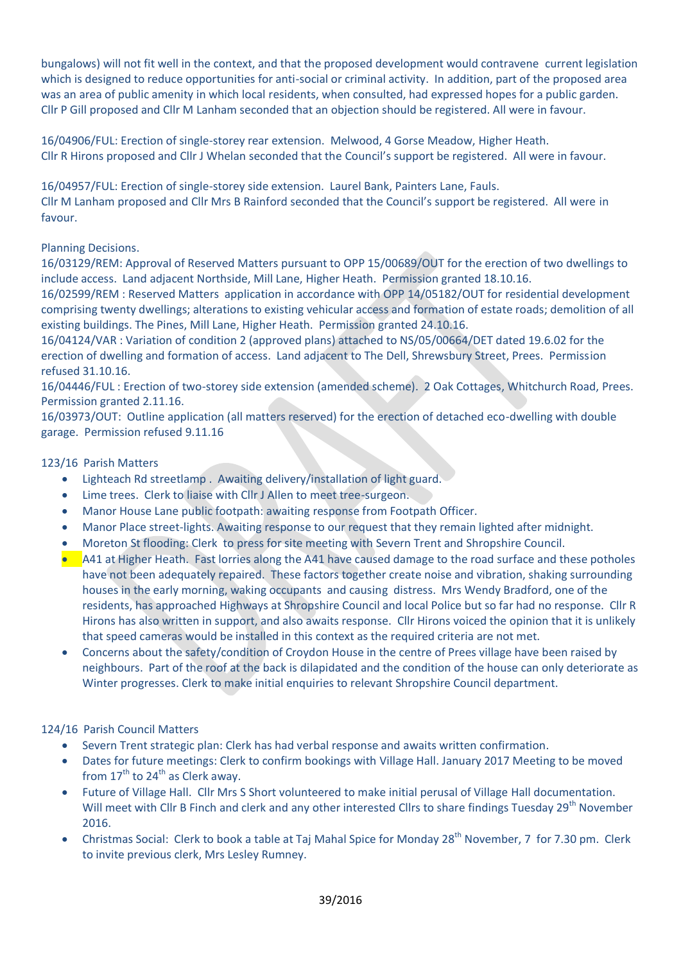bungalows) will not fit well in the context, and that the proposed development would contravene current legislation which is designed to reduce opportunities for anti-social or criminal activity. In addition, part of the proposed area was an area of public amenity in which local residents, when consulted, had expressed hopes for a public garden. Cllr P Gill proposed and Cllr M Lanham seconded that an objection should be registered. All were in favour.

16/04906/FUL: Erection of single-storey rear extension. Melwood, 4 Gorse Meadow, Higher Heath. Cllr R Hirons proposed and Cllr J Whelan seconded that the Council's support be registered. All were in favour.

16/04957/FUL: Erection of single-storey side extension. Laurel Bank, Painters Lane, Fauls. Cllr M Lanham proposed and Cllr Mrs B Rainford seconded that the Council's support be registered. All were in favour.

# Planning Decisions.

16/03129/REM: Approval of Reserved Matters pursuant to OPP 15/00689/OUT for the erection of two dwellings to include access. Land adjacent Northside, Mill Lane, Higher Heath. Permission granted 18.10.16.

16/02599/REM : Reserved Matters application in accordance with OPP 14/05182/OUT for residential development comprising twenty dwellings; alterations to existing vehicular access and formation of estate roads; demolition of all existing buildings. The Pines, Mill Lane, Higher Heath. Permission granted 24.10.16.

16/04124/VAR : Variation of condition 2 (approved plans) attached to NS/05/00664/DET dated 19.6.02 for the erection of dwelling and formation of access. Land adjacent to The Dell, Shrewsbury Street, Prees. Permission refused 31.10.16.

16/04446/FUL : Erection of two-storey side extension (amended scheme). 2 Oak Cottages, Whitchurch Road, Prees. Permission granted 2.11.16.

16/03973/OUT: Outline application (all matters reserved) for the erection of detached eco-dwelling with double garage. Permission refused 9.11.16

## 123/16 Parish Matters

- Lighteach Rd streetlamp . Awaiting delivery/installation of light guard.
- Lime trees. Clerk to liaise with Cllr J Allen to meet tree-surgeon.
- Manor House Lane public footpath: awaiting response from Footpath Officer.
- Manor Place street-lights. Awaiting response to our request that they remain lighted after midnight.
- Moreton St flooding: Clerk to press for site meeting with Severn Trent and Shropshire Council.
- A41 at Higher Heath. Fast lorries along the A41 have caused damage to the road surface and these potholes have not been adequately repaired. These factors together create noise and vibration, shaking surrounding houses in the early morning, waking occupants and causing distress. Mrs Wendy Bradford, one of the residents, has approached Highways at Shropshire Council and local Police but so far had no response. Cllr R Hirons has also written in support, and also awaits response. Cllr Hirons voiced the opinion that it is unlikely that speed cameras would be installed in this context as the required criteria are not met.
- Concerns about the safety/condition of Croydon House in the centre of Prees village have been raised by neighbours. Part of the roof at the back is dilapidated and the condition of the house can only deteriorate as Winter progresses. Clerk to make initial enquiries to relevant Shropshire Council department.

### 124/16 Parish Council Matters

- Severn Trent strategic plan: Clerk has had verbal response and awaits written confirmation.
- Dates for future meetings: Clerk to confirm bookings with Village Hall. January 2017 Meeting to be moved from  $17<sup>th</sup>$  to  $24<sup>th</sup>$  as Clerk away.
- Future of Village Hall. Cllr Mrs S Short volunteered to make initial perusal of Village Hall documentation. Will meet with Cllr B Finch and clerk and any other interested Cllrs to share findings Tuesday 29<sup>th</sup> November 2016.
- Christmas Social: Clerk to book a table at Taj Mahal Spice for Monday 28<sup>th</sup> November, 7 for 7.30 pm. Clerk to invite previous clerk, Mrs Lesley Rumney.